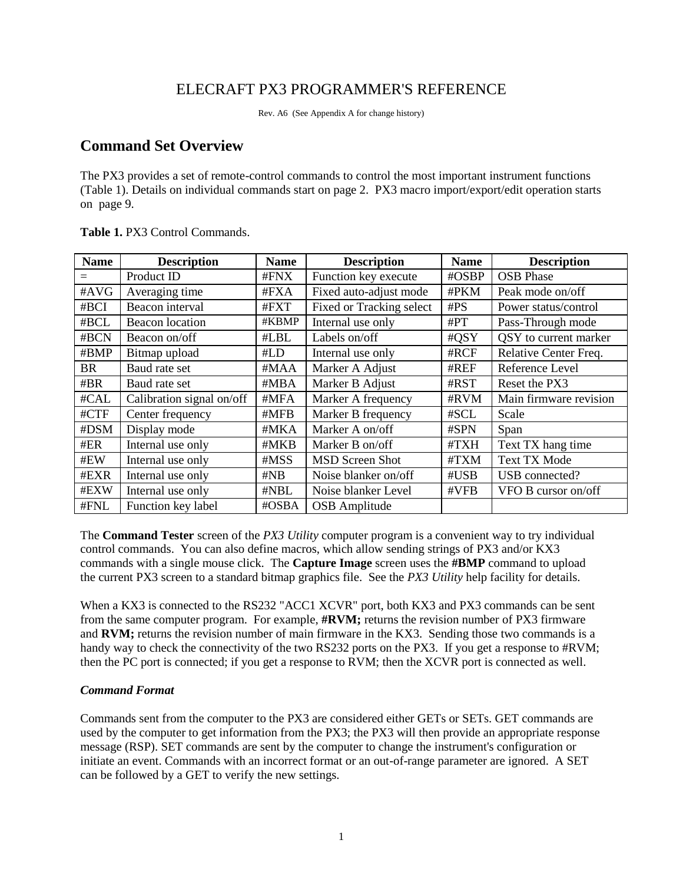# ELECRAFT PX3 PROGRAMMER'S REFERENCE

Rev. A6 (See Appendix A for change history)

# **Command Set Overview**

The PX3 provides a set of remote-control commands to control the most important instrument functions (Table 1). Details on individual commands start on page 2. PX3 macro import/export/edit operation starts on page 9.

| <b>Name</b> | <b>Description</b>        | <b>Name</b> | <b>Description</b>       | <b>Name</b> | <b>Description</b>     |
|-------------|---------------------------|-------------|--------------------------|-------------|------------------------|
|             | Product ID                | #FNX        | Function key execute     | #OSBP       | <b>OSB</b> Phase       |
| #AVG        | Averaging time            | #FXA        | Fixed auto-adjust mode   | #PKM        | Peak mode on/off       |
| #BCI        | Beacon interval           | #FXT        | Fixed or Tracking select | #PS         | Power status/control   |
| #BCL        | <b>Beacon</b> location    | #KBMP       | Internal use only        | #PT         | Pass-Through mode      |
| #BCN        | Beacon on/off             | #LBL        | Labels on/off            | #QSY        | QSY to current marker  |
| #BMP        | Bitmap upload             | #LD         | Internal use only        | #RCF        | Relative Center Freq.  |
| BR          | Baud rate set             | #MAA        | Marker A Adjust          | #REF        | Reference Level        |
| #BR         | Baud rate set             | #MBA        | Marker B Adjust          | #RST        | Reset the PX3          |
| #CAL        | Calibration signal on/off | #MFA        | Marker A frequency       | #RVM        | Main firmware revision |
| #CTF        | Center frequency          | #MFB        | Marker B frequency       | #SCL        | Scale                  |
| #DSM        | Display mode              | #MKA        | Marker A on/off          | #SPN        | Span                   |
| #ER         | Internal use only         | #MKB        | Marker B on/off          | #TXH        | Text TX hang time      |
| #EW         | Internal use only         | #MSS        | <b>MSD Screen Shot</b>   | #TXM        | <b>Text TX Mode</b>    |
| #EXR        | Internal use only         | #NB         | Noise blanker on/off     | #USB        | USB connected?         |
| #EXW        | Internal use only         | #NBL        | Noise blanker Level      | #VFB        | VFO B cursor on/off    |
| #FNL        | Function key label        | #OSBA       | <b>OSB</b> Amplitude     |             |                        |

**Table 1.** PX3 Control Commands.

The **Command Tester** screen of the *PX3 Utility* computer program is a convenient way to try individual control commands. You can also define macros, which allow sending strings of PX3 and/or KX3 commands with a single mouse click. The **Capture Image** screen uses the **#BMP** command to upload the current PX3 screen to a standard bitmap graphics file. See the *PX3 Utility* help facility for details.

When a KX3 is connected to the RS232 "ACC1 XCVR" port, both KX3 and PX3 commands can be sent from the same computer program. For example, **#RVM;** returns the revision number of PX3 firmware and **RVM;** returns the revision number of main firmware in the KX3. Sending those two commands is a handy way to check the connectivity of the two RS232 ports on the PX3. If you get a response to #RVM; then the PC port is connected; if you get a response to RVM; then the XCVR port is connected as well.

# *Command Format*

Commands sent from the computer to the PX3 are considered either GETs or SETs. GET commands are used by the computer to get information from the PX3; the PX3 will then provide an appropriate response message (RSP). SET commands are sent by the computer to change the instrument's configuration or initiate an event. Commands with an incorrect format or an out-of-range parameter are ignored. A SET can be followed by a GET to verify the new settings.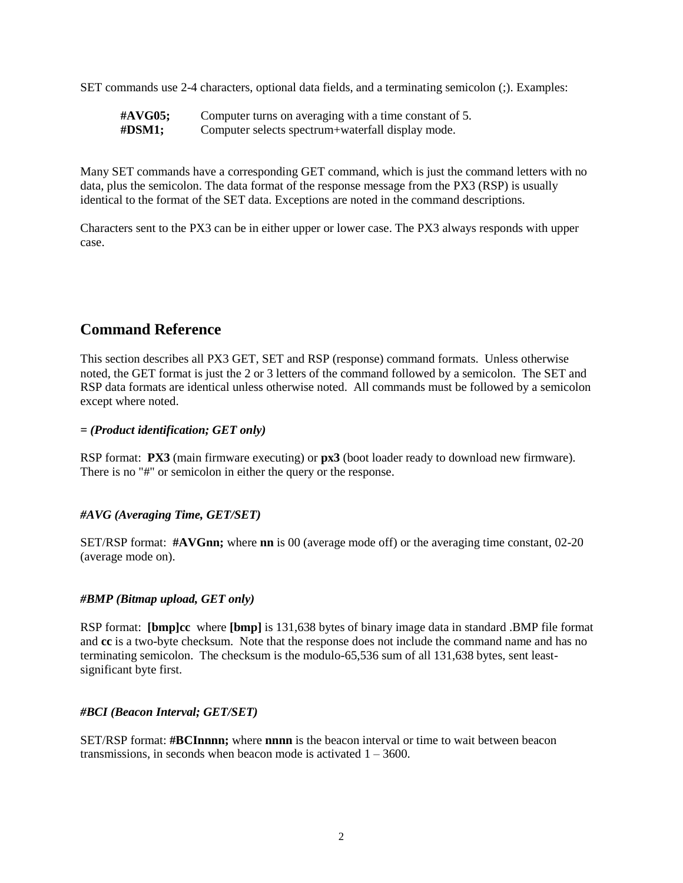SET commands use 2-4 characters, optional data fields, and a terminating semicolon (;). Examples:

| #AVG05;    | Computer turns on averaging with a time constant of 5. |
|------------|--------------------------------------------------------|
| $\#$ DSM1; | Computer selects spectrum+waterfall display mode.      |

Many SET commands have a corresponding GET command, which is just the command letters with no data, plus the semicolon. The data format of the response message from the PX3 (RSP) is usually identical to the format of the SET data. Exceptions are noted in the command descriptions.

Characters sent to the PX3 can be in either upper or lower case. The PX3 always responds with upper case.

# **Command Reference**

This section describes all PX3 GET, SET and RSP (response) command formats. Unless otherwise noted, the GET format is just the 2 or 3 letters of the command followed by a semicolon. The SET and RSP data formats are identical unless otherwise noted. All commands must be followed by a semicolon except where noted.

# *= (Product identification; GET only)*

RSP format: **PX3** (main firmware executing) or **px3** (boot loader ready to download new firmware). There is no "#" or semicolon in either the query or the response.

### *#AVG (Averaging Time, GET/SET)*

SET/RSP format: **#AVGnn;** where **nn** is 00 (average mode off) or the averaging time constant, 02-20 (average mode on).

### *#BMP (Bitmap upload, GET only)*

RSP format: **[bmp]cc** where **[bmp]** is 131,638 bytes of binary image data in standard .BMP file format and **cc** is a two-byte checksum. Note that the response does not include the command name and has no terminating semicolon. The checksum is the modulo-65,536 sum of all 131,638 bytes, sent leastsignificant byte first.

# *#BCI (Beacon Interval; GET/SET)*

SET/RSP format: **#BCInnnn;** where **nnnn** is the beacon interval or time to wait between beacon transmissions, in seconds when beacon mode is activated  $1 - 3600$ .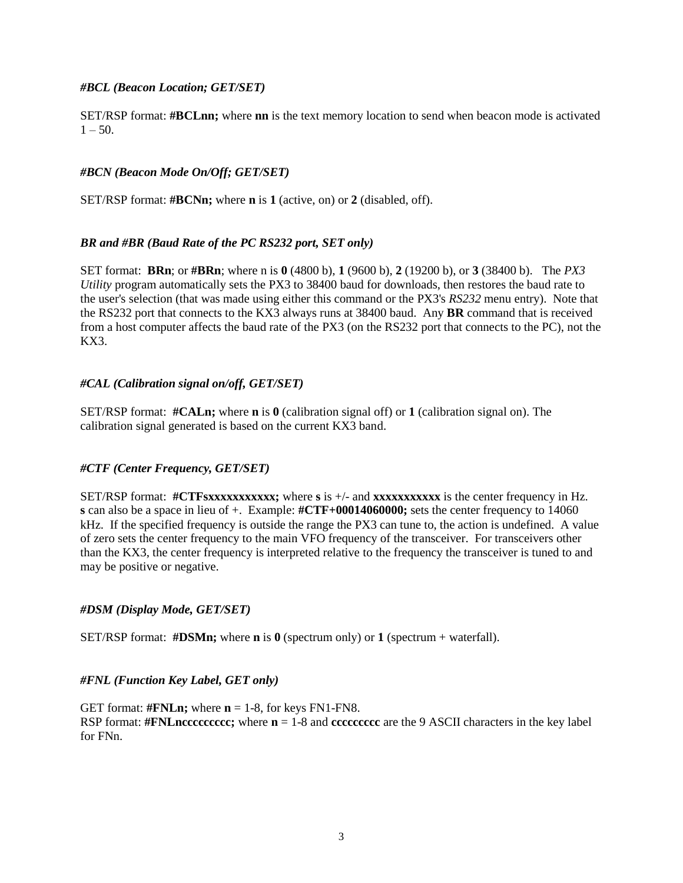### *#BCL (Beacon Location; GET/SET)*

SET/RSP format: **#BCLnn;** where **nn** is the text memory location to send when beacon mode is activated  $1 - 50$ .

# *#BCN (Beacon Mode On/Off; GET/SET)*

SET/RSP format: **#BCNn;** where **n** is **1** (active, on) or **2** (disabled, off).

# *BR and #BR (Baud Rate of the PC RS232 port, SET only)*

SET format: **BRn**; or **#BRn**; where n is **0** (4800 b), **1** (9600 b), **2** (19200 b), or **3** (38400 b). The *PX3 Utility* program automatically sets the PX3 to 38400 baud for downloads, then restores the baud rate to the user's selection (that was made using either this command or the PX3's *RS232* menu entry). Note that the RS232 port that connects to the KX3 always runs at 38400 baud. Any **BR** command that is received from a host computer affects the baud rate of the PX3 (on the RS232 port that connects to the PC), not the KX3.

# *#CAL (Calibration signal on/off, GET/SET)*

SET/RSP format: **#CALn;** where **n** is **0** (calibration signal off) or **1** (calibration signal on). The calibration signal generated is based on the current KX3 band.

### *#CTF (Center Frequency, GET/SET)*

SET/RSP format: #CTFsxxxxxxxxxxxx; where s is +/- and xxxxxxxxxxxx is the center frequency in Hz. **s** can also be a space in lieu of +. Example: **#CTF+00014060000;** sets the center frequency to 14060 kHz. If the specified frequency is outside the range the PX3 can tune to, the action is undefined. A value of zero sets the center frequency to the main VFO frequency of the transceiver. For transceivers other than the KX3, the center frequency is interpreted relative to the frequency the transceiver is tuned to and may be positive or negative.

### *#DSM (Display Mode, GET/SET)*

SET/RSP format: **#DSMn;** where **n** is **0** (spectrum only) or **1** (spectrum + waterfall).

### *#FNL (Function Key Label, GET only)*

GET format:  $\text{#FNLn}$ ; where  $n = 1-8$ , for keys FN1-FN8. RSP format: **#FNLnccccccccc;** where **n** = 1-8 and **ccccccccc** are the 9 ASCII characters in the key label for FNn.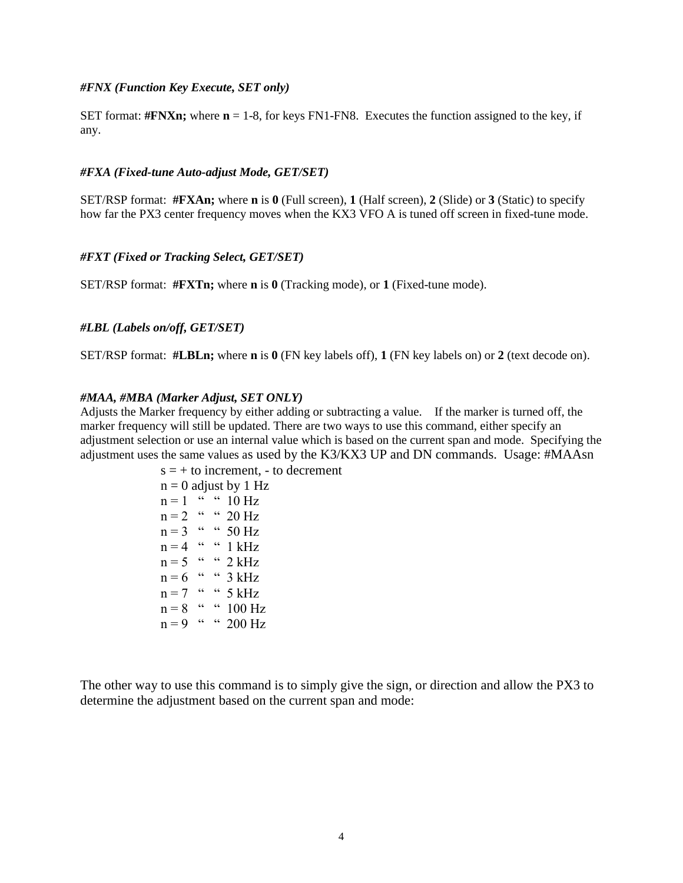#### *#FNX (Function Key Execute, SET only)*

SET format:  $\# \mathbf{F} \mathbf{N} \mathbf{X} \mathbf{n}$ ; where  $\mathbf{n} = 1$ -8, for keys FN1-FN8. Executes the function assigned to the key, if any.

#### *#FXA (Fixed-tune Auto-adjust Mode, GET/SET)*

SET/RSP format: **#FXAn;** where **n** is **0** (Full screen), **1** (Half screen), **2** (Slide) or **3** (Static) to specify how far the PX3 center frequency moves when the KX3 VFO A is tuned off screen in fixed-tune mode.

#### *#FXT (Fixed or Tracking Select, GET/SET)*

SET/RSP format: **#FXTn;** where **n** is **0** (Tracking mode), or **1** (Fixed-tune mode).

#### *#LBL (Labels on/off, GET/SET)*

SET/RSP format: **#LBLn;** where **n** is **0** (FN key labels off), **1** (FN key labels on) or **2** (text decode on).

#### *#MAA, #MBA (Marker Adjust, SET ONLY)*

Adjusts the Marker frequency by either adding or subtracting a value. If the marker is turned off, the marker frequency will still be updated. There are two ways to use this command, either specify an adjustment selection or use an internal value which is based on the current span and mode. Specifying the adjustment uses the same values as used by the K3/KX3 UP and DN commands. Usage: #MAAsn

```
s = +\infty increment, - to decrement
n = 0 adjust by 1 Hz
n = 1 " " 10 Hzn = 2 " " 20 Hzn = 3 " " 50 Hz
n = 4 " " 1 kHz
n = 5 " " 2 kHzn = 6 " " 3 kHzn = 7 " " 5 kHz
n = 8 " " 100 Hz
n = 9 " " 200 Hz
```
The other way to use this command is to simply give the sign, or direction and allow the PX3 to determine the adjustment based on the current span and mode: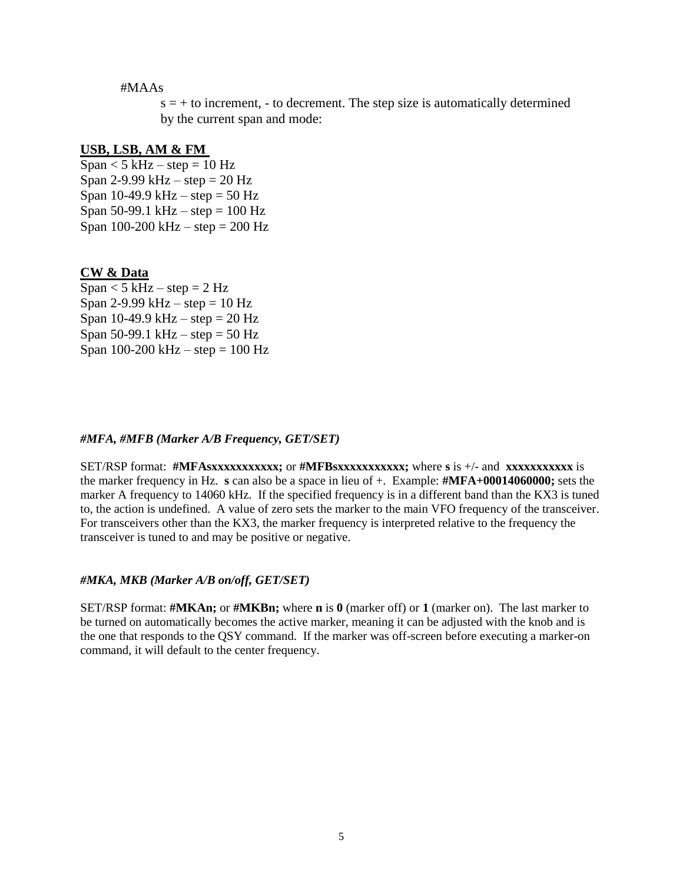#### #MAAs

 $s = +$  to increment, - to decrement. The step size is automatically determined by the current span and mode:

#### **USB, LSB, AM & FM**

 $Span < 5$  kHz – step = 10 Hz Span 2-9.99 kHz  $-$  step  $= 20$  Hz Span 10-49.9 kHz – step =  $50$  Hz Span 50-99.1 kHz – step =  $100$  Hz Span  $100-200$  kHz – step =  $200$  Hz

#### **CW & Data**

 $Span < 5$  kHz – step = 2 Hz Span 2-9.99 kHz – step =  $10$  Hz Span 10-49.9 kHz – step =  $20$  Hz Span 50-99.1 kHz – step = 50 Hz Span  $100-200 \text{ kHz} - \text{step} = 100 \text{ Hz}$ 

#### *#MFA, #MFB (Marker A/B Frequency, GET/SET)*

SET/RSP format: **#MFAsxxxxxxxxxxx;** or **#MFBsxxxxxxxxxxx;** where **s** is +/- and **xxxxxxxxxxx** is the marker frequency in Hz. **s** can also be a space in lieu of +. Example: **#MFA+00014060000;** sets the marker A frequency to 14060 kHz. If the specified frequency is in a different band than the KX3 is tuned to, the action is undefined. A value of zero sets the marker to the main VFO frequency of the transceiver. For transceivers other than the KX3, the marker frequency is interpreted relative to the frequency the transceiver is tuned to and may be positive or negative.

#### *#MKA, MKB (Marker A/B on/off, GET/SET)*

SET/RSP format: **#MKAn;** or **#MKBn;** where **n** is **0** (marker off) or **1** (marker on). The last marker to be turned on automatically becomes the active marker, meaning it can be adjusted with the knob and is the one that responds to the QSY command. If the marker was off-screen before executing a marker-on command, it will default to the center frequency.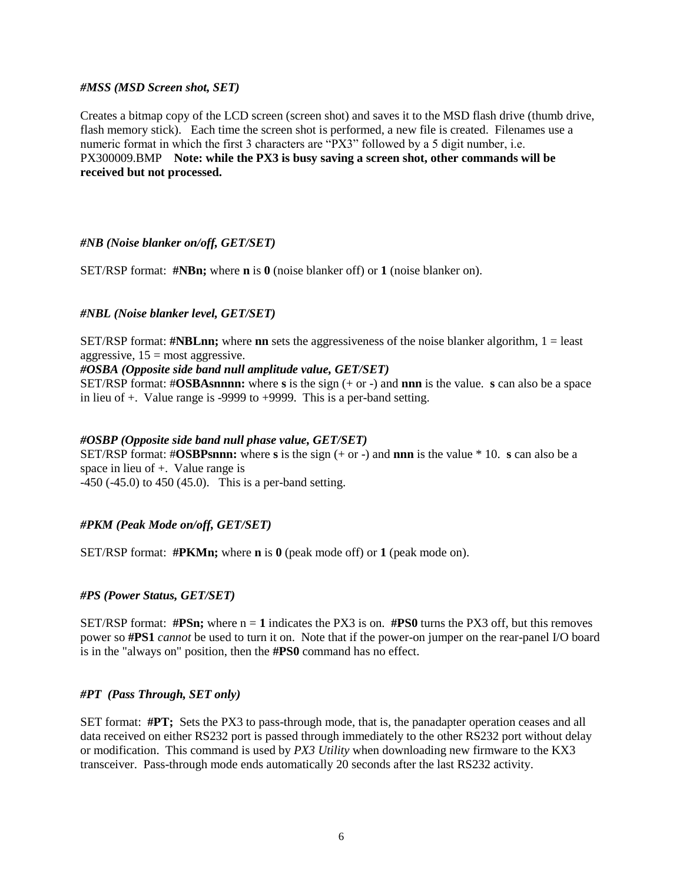#### *#MSS (MSD Screen shot, SET)*

Creates a bitmap copy of the LCD screen (screen shot) and saves it to the MSD flash drive (thumb drive, flash memory stick). Each time the screen shot is performed, a new file is created. Filenames use a numeric format in which the first 3 characters are "PX3" followed by a 5 digit number, i.e. PX300009.BMP **Note: while the PX3 is busy saving a screen shot, other commands will be received but not processed.** 

### *#NB (Noise blanker on/off, GET/SET)*

SET/RSP format: **#NBn;** where **n** is **0** (noise blanker off) or **1** (noise blanker on).

### *#NBL (Noise blanker level, GET/SET)*

SET/RSP format: **#NBLnn;** where **nn** sets the aggressiveness of the noise blanker algorithm, 1 = least aggressive,  $15 = \text{most aggressive}$ .

### *#OSBA (Opposite side band null amplitude value, GET/SET)*

SET/RSP format: #**OSBAsnnnn:** where **s** is the sign (+ or -) and **nnn** is the value. **s** can also be a space in lieu of +. Value range is -9999 to +9999. This is a per-band setting.

#### *#OSBP (Opposite side band null phase value, GET/SET)*

SET/RSP format: #**OSBPsnnn:** where **s** is the sign (+ or -) and **nnn** is the value \* 10. **s** can also be a space in lieu of +. Value range is

-450 (-45.0) to 450 (45.0). This is a per-band setting.

### *#PKM (Peak Mode on/off, GET/SET)*

SET/RSP format: **#PKMn;** where **n** is **0** (peak mode off) or **1** (peak mode on).

### *#PS (Power Status, GET/SET)*

SET/RSP format:  $\#P\text{Sn}$ ; where  $n = 1$  indicates the PX3 is on.  $\#P\text{SO}$  turns the PX3 off, but this removes power so **#PS1** *cannot* be used to turn it on. Note that if the power-on jumper on the rear-panel I/O board is in the "always on" position, then the **#PS0** command has no effect.

### *#PT (Pass Through, SET only)*

SET format: **#PT;** Sets the PX3 to pass-through mode, that is, the panadapter operation ceases and all data received on either RS232 port is passed through immediately to the other RS232 port without delay or modification. This command is used by *PX3 Utility* when downloading new firmware to the KX3 transceiver. Pass-through mode ends automatically 20 seconds after the last RS232 activity.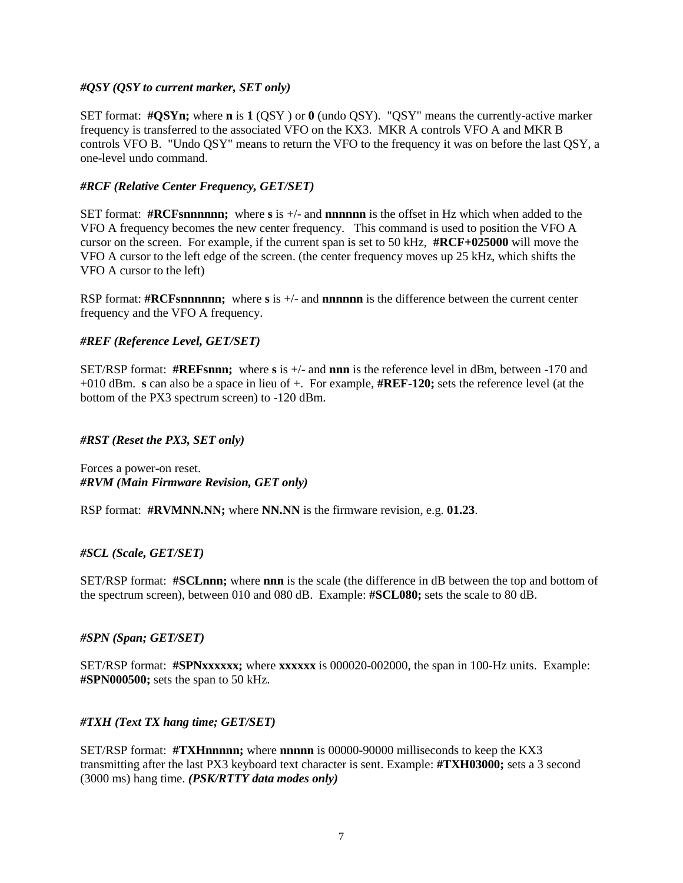### *#QSY (QSY to current marker, SET only)*

SET format: **#QSYn;** where **n** is **1** (QSY ) or **0** (undo QSY). "QSY" means the currently-active marker frequency is transferred to the associated VFO on the KX3. MKR A controls VFO A and MKR B controls VFO B. "Undo QSY" means to return the VFO to the frequency it was on before the last QSY, a one-level undo command.

# *#RCF (Relative Center Frequency, GET/SET)*

SET format: **#RCFsnnnnnn;** where **s** is +/- and **nnnnnn** is the offset in Hz which when added to the VFO A frequency becomes the new center frequency. This command is used to position the VFO A cursor on the screen. For example, if the current span is set to 50 kHz, **#RCF+025000** will move the VFO A cursor to the left edge of the screen. (the center frequency moves up 25 kHz, which shifts the VFO A cursor to the left)

RSP format: **#RCFsnnnnnn;** where **s** is +/- and **nnnnnn** is the difference between the current center frequency and the VFO A frequency.

# *#REF (Reference Level, GET/SET)*

SET/RSP format: **#REFsnnn;** where **s** is +/- and **nnn** is the reference level in dBm, between -170 and +010 dBm. **s** can also be a space in lieu of +. For example, **#REF-120;** sets the reference level (at the bottom of the PX3 spectrum screen) to -120 dBm.

### *#RST (Reset the PX3, SET only)*

Forces a power-on reset. *#RVM (Main Firmware Revision, GET only)*

RSP format: **#RVMNN.NN;** where **NN.NN** is the firmware revision, e.g. **01.23**.

### *#SCL (Scale, GET/SET)*

SET/RSP format: **#SCLnnn;** where **nnn** is the scale (the difference in dB between the top and bottom of the spectrum screen), between 010 and 080 dB. Example: **#SCL080;** sets the scale to 80 dB.

### *#SPN (Span; GET/SET)*

SET/RSP format: **#SPNxxxxxx;** where **xxxxxx** is 000020-002000, the span in 100-Hz units. Example: **#SPN000500;** sets the span to 50 kHz.

# *#TXH (Text TX hang time; GET/SET)*

SET/RSP format: **#TXHnnnnn;** where **nnnnn** is 00000-90000 milliseconds to keep the KX3 transmitting after the last PX3 keyboard text character is sent. Example: **#TXH03000;** sets a 3 second (3000 ms) hang time. *(PSK/RTTY data modes only)*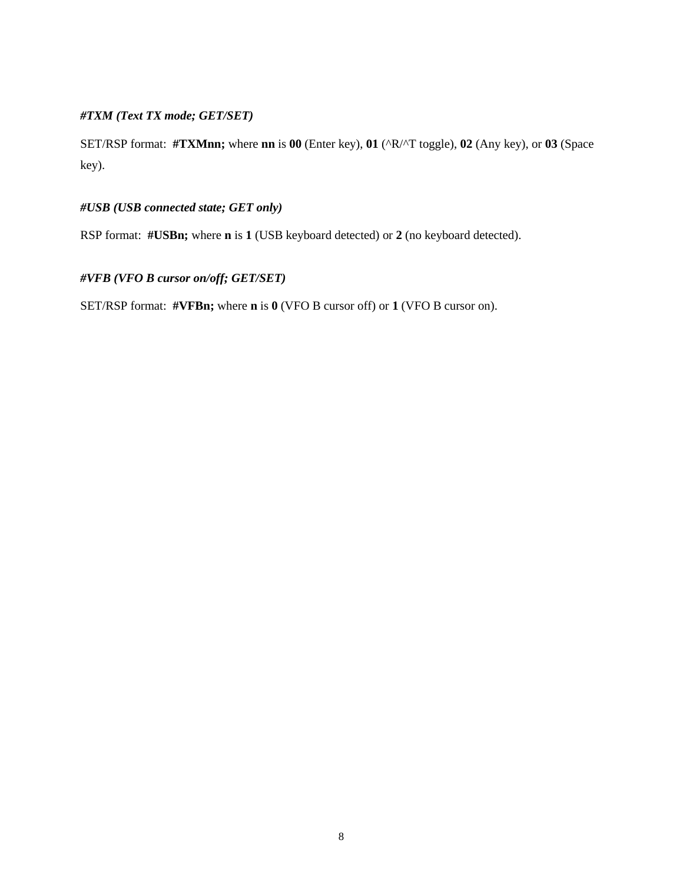# *#TXM (Text TX mode; GET/SET)*

SET/RSP format: **#TXMnn;** where **nn** is **00** (Enter key), **01** (^R/^T toggle), **02** (Any key), or **03** (Space key).

# *#USB (USB connected state; GET only)*

RSP format: **#USBn;** where **n** is **1** (USB keyboard detected) or **2** (no keyboard detected).

# *#VFB (VFO B cursor on/off; GET/SET)*

SET/RSP format: **#VFBn;** where **n** is **0** (VFO B cursor off) or **1** (VFO B cursor on).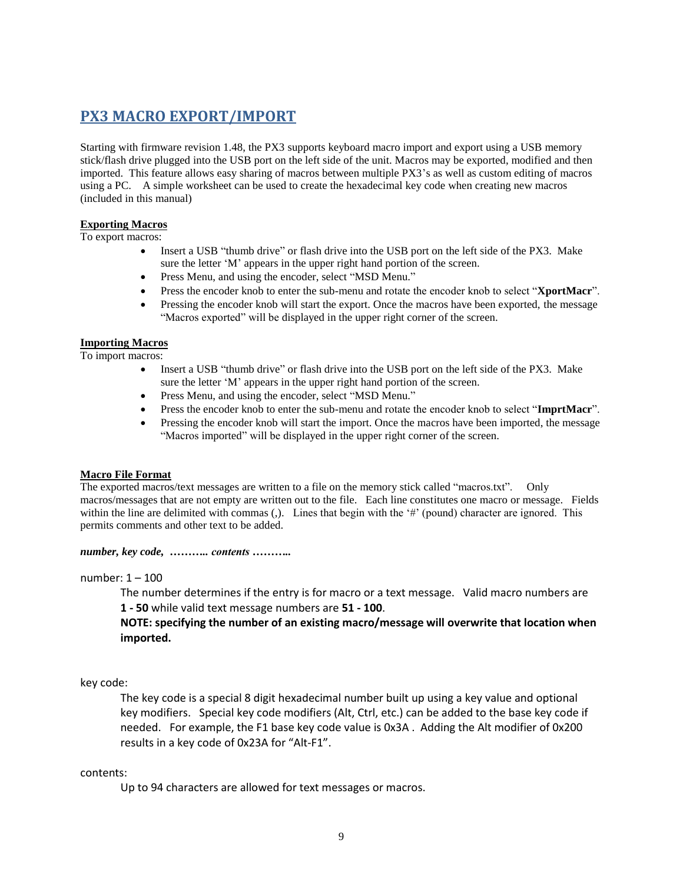# **PX3 MACRO EXPORT/IMPORT**

Starting with firmware revision 1.48, the PX3 supports keyboard macro import and export using a USB memory stick/flash drive plugged into the USB port on the left side of the unit. Macros may be exported, modified and then imported. This feature allows easy sharing of macros between multiple PX3's as well as custom editing of macros using a PC. A simple worksheet can be used to create the hexadecimal key code when creating new macros (included in this manual)

# **Exporting Macros**

To export macros:

- Insert a USB "thumb drive" or flash drive into the USB port on the left side of the PX3. Make sure the letter 'M' appears in the upper right hand portion of the screen.
- Press Menu, and using the encoder, select "MSD Menu."
- Press the encoder knob to enter the sub-menu and rotate the encoder knob to select "**XportMacr**".
- Pressing the encoder knob will start the export. Once the macros have been exported, the message "Macros exported" will be displayed in the upper right corner of the screen.

#### **Importing Macros**

To import macros:

- Insert a USB "thumb drive" or flash drive into the USB port on the left side of the PX3. Make sure the letter 'M' appears in the upper right hand portion of the screen.
- Press Menu, and using the encoder, select "MSD Menu."
- Press the encoder knob to enter the sub-menu and rotate the encoder knob to select "**ImprtMacr**".
- Pressing the encoder knob will start the import. Once the macros have been imported, the message "Macros imported" will be displayed in the upper right corner of the screen.

#### **Macro File Format**

The exported macros/text messages are written to a file on the memory stick called "macros.txt". Only macros/messages that are not empty are written out to the file. Each line constitutes one macro or message. Fields within the line are delimited with commas (,). Lines that begin with the '#' (pound) character are ignored. This permits comments and other text to be added.

*number, key code, ……….. contents ………..* 

number: 1 – 100

The number determines if the entry is for macro or a text message. Valid macro numbers are **1 - 50** while valid text message numbers are **51 - 100**.

**NOTE: specifying the number of an existing macro/message will overwrite that location when imported.**

#### key code:

The key code is a special 8 digit hexadecimal number built up using a key value and optional key modifiers. Special key code modifiers (Alt, Ctrl, etc.) can be added to the base key code if needed. For example, the F1 base key code value is 0x3A . Adding the Alt modifier of 0x200 results in a key code of 0x23A for "Alt-F1".

#### contents:

Up to 94 characters are allowed for text messages or macros.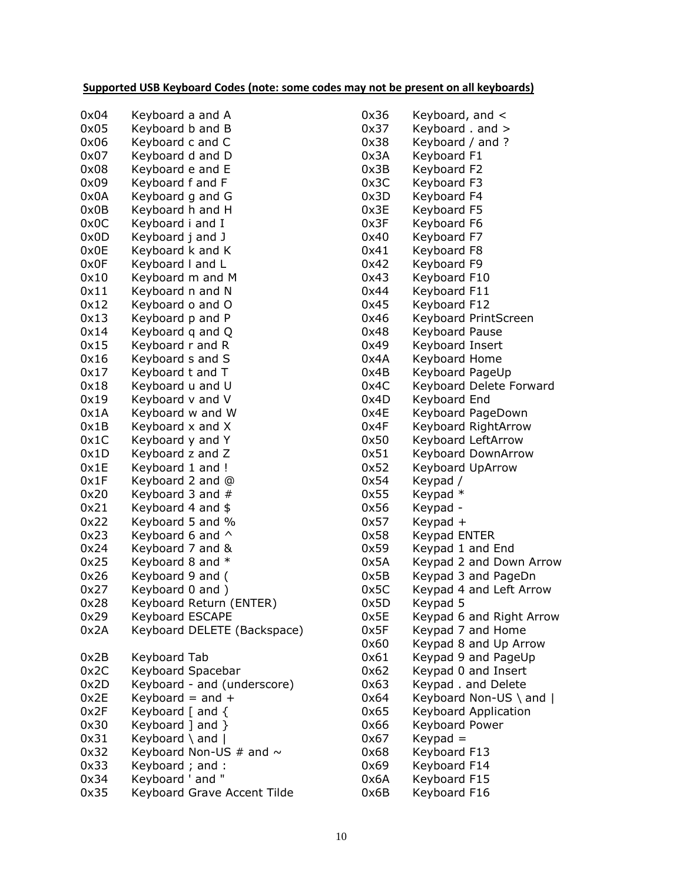# **Supported USB Keyboard Codes (note: some codes may not be present on all keyboards)**

| 0x04 | Keyboard a and A             |
|------|------------------------------|
| 0x05 | Keyboard b and B             |
| 0x06 | Keyboard c and C             |
| 0x07 | Keyboard d and D             |
| 0x08 | Keyboard e and E             |
| 0x09 | Keyboard f and F             |
| 0x0A | Keyboard g and G             |
| 0x0B | Keyboard h and H             |
| 0x0C | Keyboard i and I             |
| 0x0D | Keyboard j and J             |
| 0x0E | Keyboard k and K             |
| 0x0F | Keyboard I and L             |
| 0x10 | Keyboard m and M             |
| 0x11 | Keyboard n and N             |
| 0x12 | Keyboard o and O             |
| 0x13 | Keyboard p and P             |
| 0x14 | Keyboard q and Q             |
| 0x15 | Keyboard r and R             |
| 0x16 | Keyboard s and S             |
| 0x17 | Keyboard t and T             |
| 0x18 | Keyboard u and U             |
| 0x19 | Keyboard v and V             |
| 0x1A | Keyboard w and W             |
| 0x1B | Keyboard x and X             |
| 0x1C | Keyboard y and Y             |
| 0x1D | Keyboard z and Z             |
| 0x1E | Keyboard 1 and !             |
| 0x1F | Keyboard 2 and @             |
| 0x20 | Keyboard 3 and #             |
| 0x21 | Keyboard 4 and \$            |
| 0x22 | Keyboard 5 and %             |
| 0x23 | Keyboard 6 and ^             |
| 0x24 | Keyboard 7 and &             |
| 0x25 | Keyboard 8 and *             |
| 0x26 | Keyboard 9 and (             |
| 0x27 | Keyboard 0 and)              |
| 0x28 | Keyboard Return (ENTER)      |
| 0x29 | <b>Keyboard ESCAPE</b>       |
| 0x2A | Keyboard DELETE (Backspace)  |
| 0x2B | Keyboard Tab                 |
| 0x2C | Keyboard Spacebar            |
| 0x2D | Keyboard - and (underscore)  |
| 0x2E | Keyboard = and $+$           |
| 0x2F | Keyboard [ and {             |
| 0x30 | Keyboard ] and }             |
| 0x31 | Keyboard \ and               |
| 0x32 | Keyboard Non-US # and $\sim$ |
| 0x33 | Keyboard ; and :             |
| 0x34 | Keyboard ' and "             |
| 0x35 | Keyboard Grave Accent Tilde  |

| 0x36         | Keyboard, and <           |
|--------------|---------------------------|
| 0x37         | Keyboard. and >           |
| 0x38         | Keyboard / and ?          |
| 0x3A         | Keyboard F1               |
| 0x3B         | Keyboard F2               |
| 0x3C         | Keyboard F3               |
| 0x3D         | Keyboard F4               |
| 0x3E         | Keyboard F5               |
| 0x3F         | Keyboard F6               |
| 0x40         | Keyboard F7               |
| 0x41         | Keyboard F8               |
| 0x42         | Keyboard F9               |
| 0x43         | Keyboard F10              |
| 0x44         | Keyboard F11              |
| 0x45         | Keyboard F12              |
| 0x46         | Keyboard PrintScreen      |
| 0x48         | Keyboard Pause            |
| 0x49         | Keyboard Insert           |
| 0x4A         | Keyboard Home             |
| 0x4B         | Keyboard PageUp           |
| 0x4C         | Keyboard Delete Forward   |
| 0x4D         | Keyboard End              |
| 0x4E         | Keyboard PageDown         |
| 0x4F         | Keyboard RightArrow       |
| 0x50         | Keyboard LeftArrow        |
| 0x51         | <b>Keyboard DownArrow</b> |
| 0x52         | <b>Keyboard UpArrow</b>   |
| 0x54         | Keypad /                  |
| 0x55         | Keypad *                  |
| 0x56         | Keypad -                  |
| 0x57         | Keypad +                  |
| 0x58         | Keypad ENTER              |
| 0x59         | Keypad 1 and End          |
| 0x5A         | Keypad 2 and Down Arrow   |
| 0x5B         | Keypad 3 and PageDn       |
| 0x5C         | Keypad 4 and Left Arrow   |
| 0x5D         | Keypad 5                  |
| 0x5E         | Keypad 6 and Right Arrow  |
| 0x5F         | Keypad 7 and Home         |
| 0x60         | Keypad 8 and Up Arrow     |
| 0x61         | Keypad 9 and PageUp       |
| 0x62         | Keypad 0 and Insert       |
| 0x63         | Keypad. and Delete        |
| 0x64         | Keyboard Non-US \ and     |
| 0x65         | Keyboard Application      |
| 0x66         | Keyboard Power            |
| 0x67         | $Keypad =$                |
| 0x68<br>0x69 | Keyboard F13              |
| 0x6A         | Keyboard F14              |
| 0x6B         | Keyboard F15              |
|              | Keyboard F16              |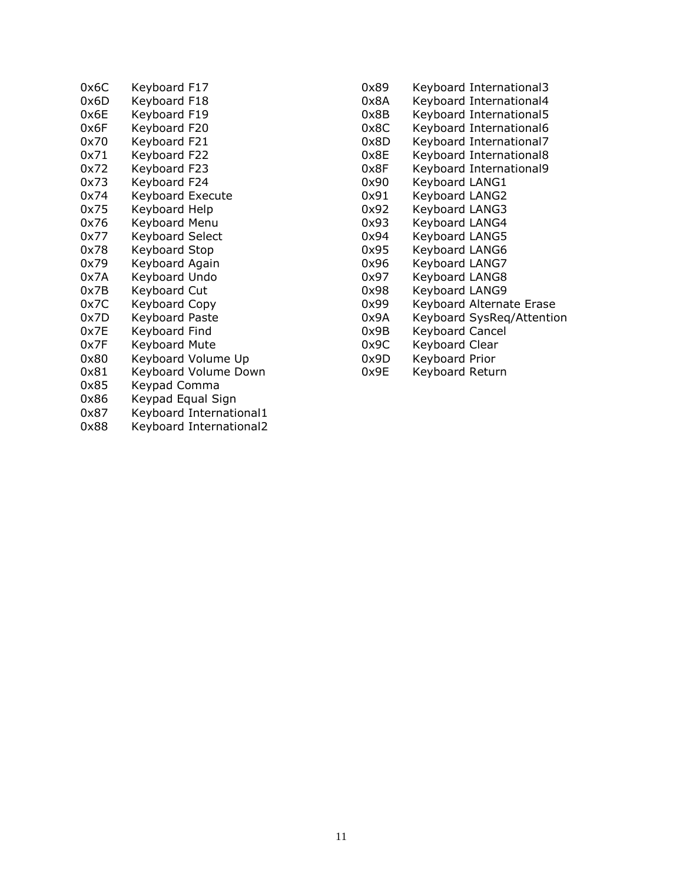| 0x6C | Keyboard F17            |
|------|-------------------------|
| 0x6D | Keyboard F18            |
| 0x6E | Keyboard F19            |
| 0x6F | Keyboard F20            |
| 0x70 | Keyboard F21            |
| 0x71 | Keyboard F22            |
| 0x72 | Keyboard F23            |
| 0x73 | Keyboard F24            |
| 0x74 | Keyboard Execute        |
| 0x75 | Keyboard Help           |
| 0x76 | Keyboard Menu           |
| 0x77 | Keyboard Select         |
| 0x78 | Keyboard Stop           |
| 0x79 | Keyboard Again          |
| 0x7A | Keyboard Undo           |
| 0x7B | Keyboard Cut            |
| 0x7C | Keyboard Copy           |
| 0x7D | Keyboard Paste          |
| 0x7E | Keyboard Find           |
| 0x7F | Keyboard Mute           |
| 0x80 | Keyboard Volume Up      |
| 0x81 | Keyboard Volume Down    |
| 0x85 | Keypad Comma            |
| 0x86 | Keypad Equal Sign       |
| 0x87 | Keyboard International1 |
| 0x88 | Keyboard International2 |
|      |                         |

| 0x89 | Keyboard International3   |
|------|---------------------------|
| 0x8A | Keyboard International4   |
| 0x8B | Keyboard International5   |
| 0x8C | Keyboard International6   |
| 0x8D | Keyboard International7   |
| 0x8E | Keyboard International8   |
| 0x8F | Keyboard International9   |
| 0x90 | Keyboard LANG1            |
| 0x91 | Keyboard LANG2            |
| 0x92 | Keyboard LANG3            |
| 0x93 | Keyboard LANG4            |
| 0x94 | Keyboard LANG5            |
| 0x95 | Keyboard LANG6            |
| 0x96 | Keyboard LANG7            |
| 0x97 | Keyboard LANG8            |
| 0x98 | Keyboard LANG9            |
| 0x99 | Keyboard Alternate Erase  |
| 0x9A | Keyboard SysReg/Attention |
| 0x9B | <b>Keyboard Cancel</b>    |
| 0x9C | Keyboard Clear            |
| 0x9D | Keyboard Prior            |
| 0x9E | Keyboard Return           |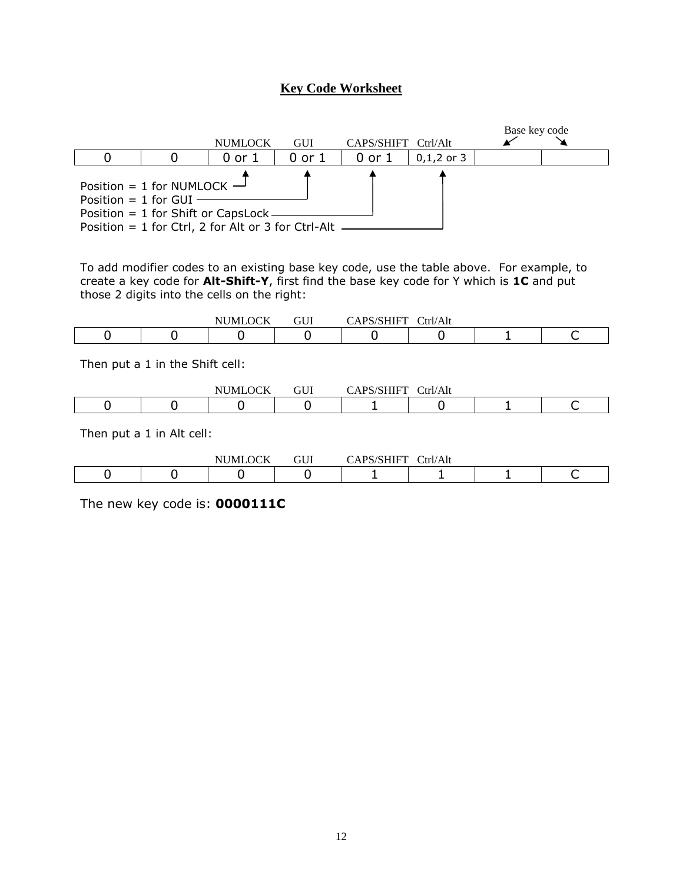# **Key Code Worksheet**



To add modifier codes to an existing base key code, use the table above. For example, to create a key code for **Alt-Shift-Y**, first find the base key code for Y which is **1C** and put those 2 digits into the cells on the right:

|  | $\triangle$ $\triangle$ $\triangle$<br>Νl<br><b>MI</b><br>м | <b>CITT</b><br>UU. | 1011111T<br>$.~\mathrm{nc}$ | $\int$ trl/ $\Lambda$<br>'Alt |  |
|--|-------------------------------------------------------------|--------------------|-----------------------------|-------------------------------|--|
|  |                                                             |                    |                             |                               |  |

Then put a 1 in the Shift cell:

|  | $\alpha v$<br>NUMI<br>$\sim$ $\sim$ $\sim$ $\sim$ $\sim$ $\sim$ | $\sim$ T T T<br>UU.<br>$ -$ | 'SHIFT<br>DC<br><br>$\sim$ $-$ | $\mathrm{Tr}I/\mathrm{Alt}$<br>$  -$ |  |
|--|-----------------------------------------------------------------|-----------------------------|--------------------------------|--------------------------------------|--|
|  |                                                                 |                             |                                |                                      |  |

Then put a 1 in Alt cell:

|  | $\alpha v$<br>$   -$<br>NL<br>N/H | $\sim$ $\sim$ $\sim$<br>ா∪⊥ | ້<br>$\mathbf{H}$<br> | /Alt<br>`trl/ |  |
|--|-----------------------------------|-----------------------------|-----------------------|---------------|--|
|  |                                   |                             |                       |               |  |

The new key code is: **0000111C**